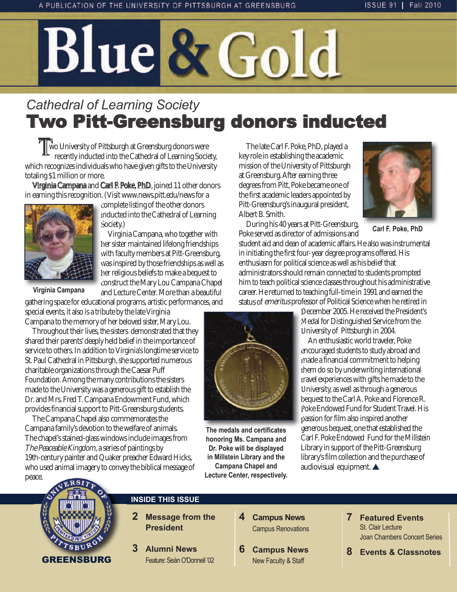# Blue & Gold

## *Cathedral of Learning Society* Two Pitt-Greensburg donors inducted

 Two University of Pittsburgh at Greensburg donors were recently inducted into the Cathedral of Learning Society, which recognizes individuals who have given gifts to the University totaling \$1 million or more.

Virginia Campana and Carl F. Poke, PhD, joined 11 other donors in earning this recognition. (Visit www.news.pitt.edu/news for a



**Virginia Campana**

complete listing of the other donors inducted into the Cathedral of Learning Society.)

Virginia Campana, who together with her sister maintained lifelong friendships with faculty members at Pitt-Greensburg, was inspired by those friendships as well as her religious beliefs to make a bequest to construct the Mary Lou Campana Chapel and Lecture Center. More than a beautiful

gathering space for educational programs, artistic performances, and

special events, it also is a tribute by the late Virginia Campana to the memory of her beloved sister, Mary Lou.

Throughout their lives, the sisters demonstrated that they shared their parents' deeply held belief in the importance of service to others. In addition to Virginia's longtime service to St. Paul Cathedral in Pittsburgh, she supported numerous charitable organizations through the Caesar Puff Foundation. Among the many contributions the sisters made to the University was a generous gift to establish the Dr. and Mrs. Fred T. Campana Endowment Fund, which provides financial support to Pitt-Greensburg students.

The Campana Chapel also commemorates the Campana family's devotion to the welfare of animals. The chapel's stained-glass windows include images from The Peaceable Kingdom, a series of paintings by 19th-century painter and Quaker preacher Edward Hicks, who used animal imagery to convey the biblical message of peace.

The late Carl F. Poke, PhD, played a key role in establishing the academic mission of the University of Pittsburgh at Greensburg. After earning three degrees from Pitt, Poke became one of the first academic leaders appointed by Pitt-Greensburg's inaugural president, Albert B. Smith.

During his 40 years at Pitt-Greensburg, Poke served as director of admissions and



**Carl F. Poke, PhD**

student aid and dean of academic affairs. He also was instrumental in initiating the first four-year degree programs offered. His enthusiasm for political science as well as his belief that administrators should remain connected to students prompted him to teach political science classes throughout his administrative career. He returned to teaching full-time in 1991 and earned the status of emeritus professor of Political Science when he retired in

> December 2005. He received the President's Medal for Distinguished Service from the University of Pittsburgh in 2004.

An enthusiastic world traveler, Poke encouraged students to study abroad and made a financial commitment to helping them do so by underwriting international travel experiences with gifts he made to the University, as well as through a generous bequest to the Carl A. Poke and Florence R. Poke Endowed Fund for Student Travel. His passion for film also inspired another generous bequest, one that established the Carl F. Poke Endowed Fund for the Millstein Library in support of the Pitt-Greensburg library's film collection and the purchase of audiovisual equipment.  $\blacktriangle$ 



## **INSIDE THIS ISSUE**

- **2 Message from the President**
- **3 Alumni News** feature: Seán o'Donnell '02
- **4 Campus News Campus Renovations**
- **6 Campus News** New faculty & Staff
- **7 Featured Events** St. Clair Lecture Joan Chambers Concert Series
- **8 Events & Classnotes**

**The medals and certificates honoring Ms. Campana and Dr. Poke will be displayed in Millstein Library and the Campana Chapel and Lecture Center, respectively.**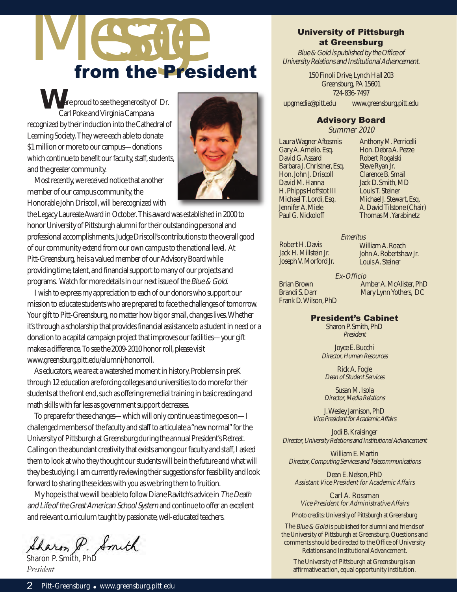# from the President

are proud to see the generosity of Dr. Carl Poke and Virginia Campana recognized by their induction into the Cathedral of Learning Society. They were each able to donate \$1 million or more to our campus—donations which continue to benefit our faculty, staff, students, and the greater community.



Most recently, we received notice that another member of our campus community, the Honorable John Driscoll, will be recognized with

the Legacy Laureate Award in October. This award was established in 2000 to honor University of Pittsburgh alumni for their outstanding personal and professional accomplishments. Judge Driscoll's contributions to the overall good of our community extend from our own campus to the national level. At Pitt-Greensburg, he is a valued member of our Advisory Board while providing time, talent, and financial support to many of our projects and programs. Watch for more details in our next issue of the Blue & Gold.

I wish to express my appreciation to each of our donors who support our mission to educate students who are prepared to face the challenges of tomorrow. Your gift to Pitt-Greensburg, no matter how big or small, changes lives. Whether it's through a scholarship that provides financial assistance to a student in need or a donation to a capital campaign project that improves our facilities—your gift makes a difference. To see the 2009-2010 honor roll, please visit www.greensburg.pitt.edu/alumni/honorroll.

As educators, we are at a watershed moment in history. Problems in preK through 12 education are forcing colleges and universities to do more for their students at the front end, such as offering remedial training in basic reading and math skills with far less as government support decreases.

To prepare for these changes—which will only continue as time goes on—I challenged members of the faculty and staff to articulate a "new normal" for the University of Pittsburgh at Greensburg during the annual President's Retreat. Calling on the abundant creativity that exists among our faculty and staff, I asked them to look at who they thought our students will be in the future and what will they be studying. I am currently reviewing their suggestions for feasibility and look forward to sharing these ideas with you as we bring them to fruition.

My hope is that we will be able to follow Diane Ravitch's advice in The Death and Life of the Great American School System and continue to offer an excellent and relevant curriculum taught by passionate, well-educated teachers.

Sharon P. Smith

*President*

### University of Pittsburgh at Greensburg

Blue & Gold is published by the Office of University Relations and Institutional Advancement.

> 150 Finoli Drive, Lynch Hall 203 Greensburg, PA 15601 724-836-7497

upgmedia@pitt.edu www.greensburg.pitt.edu

## Advisory Board

Summer 2010

Laura Wagner Aftosmis Gary A. Amelio. Esq. David G. Assard Barbara J. Christner, Esq. Hon. John J. Driscoll David M. Hanna H. Phipps Hoffstot III Michael T. Lordi, Esq. Jennifer A. Miele Paul G. Nickoloff

Anthony M. Perricelli Hon. Debra A. Pezze Robert Rogalski Steve Ryan Jr. Clarence B. Smail Jack D. Smith, MD Louis T. Steiner Michael J. Stewart, Esq. A. David Tilstone (Chair) Thomas M. Yarabinetz

Robert H. Davis Jack H. Millstein Jr. Joseph V. Morford Jr. Emeritus William A. Roach John A. Robertshaw Jr. Louis A. Steiner

#### Ex-Officio

Brian Brown Brandi S. Darr Frank D. Wilson, PhD Amber A. McAlister, PhD Mary Lynn Yothers, DC

#### President's Cabinet

Sharon P. Smith, PhD President

Joyce E. Bucchi Director, Human Resources

Rick A. Fogle Dean of Student Services

Susan M. Isola Director, Media Relations

J. Wesley Jamison, PhD Vice President for Academic Affairs

Jodi B. Kraisinger Director, University Relations and Institutional Advancement

William E. Martin Director, Computing Services and Telecommunications

Dean E. Nelson, PhD Assistant Vice President for Academic Affairs

Carl A. Rossman Vice President for Administrative Affairs

Photo credits: University of Pittsburgh at Greensburg

The Blue & Gold is published for alumni and friends of the University of Pittsburgh at Greensburg. Questions and comments should be directed to the Office of University Relations and Institutional Advancement.

The University of Pittsburgh at Greensburg is an affirmative action, equal opportunity institution.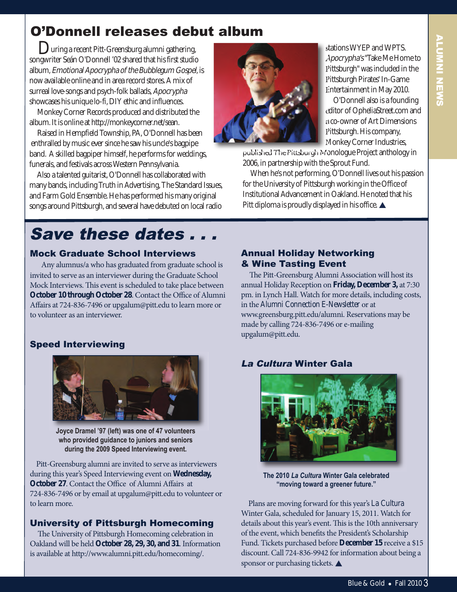## O'Donnell releases debut album

**During a recent Pitt-Greensburg alumni gathering,** songwriter Seán O'Donnell '02 shared that his first studio album, Emotional Apocrypha of the Bubblegum Gospel, is now available online and in area record stores. A mix of surreal love-songs and psych-folk ballads, Apocrypha showcases his unique lo-fi, DIY ethic and influences.

Monkey Corner Records produced and distributed the album. It is online at http://monkeycorner.net/sean.

Raised in Hempfield Township, PA, O'Donnell has been enthralled by music ever since he saw his uncle's bagpipe band. A skilled bagpiper himself, he performs for weddings, funerals, and festivals across Western Pennsylvania.

Also a talented guitarist, O'Donnell has collaborated with many bands, including Truth in Advertising, The Standard Issues, and Farm Gold Ensemble. He has performed his many original songs around Pittsburgh, and several have debuted on local radio



stations WYEP and WPTS. Apocrypha's "Take Me Home to Pittsburgh" was included in the Pittsburgh Pirates' In-Game Entertainment in May 2010.

O'Donnell also is a founding editor of OpheliaStreet.com and a co-owner of Art Dimensions Pittsburgh. His company, Monkey Corner Industries,

published The Pittsburgh Monologue Project anthology in 2006, in partnership with the Sprout Fund.

When he's not performing, O'Donnell lives out his passion for the University of Pittsburgh working in the Office of Institutional Advancement in Oakland. He noted that his Pitt diploma is proudly displayed in his office.  $\blacktriangle$ 

## Save these dates.

## mock Graduate School Interviews

Any alumnus/a who has graduated from graduate school is invited to serve as an interviewer during the Graduate School Mock Interviews. This event is scheduled to take place between **October 10 through October 28**. Contact the Office of Alumni Affairs at 724-836-7496 or upgalum@pitt.edu to learn more or to volunteer as an interviewer.

## Speed Interviewing



**Joyce Dramel '97 (left) was one of 47 volunteers who provided guidance to juniors and seniors during the 2009 Speed Interviewing event.**

Pitt-Greensburg alumni are invited to serve as interviewers during this year's Speed Interviewing event on **Wednesday, October 27**. Contact the Office of Alumni Affairs at 724-836-7496 or by email at upgalum@pitt.edu to volunteer or to learn more.

## University of Pittsburgh Homecoming

The University of Pittsburgh Homecoming celebration in Oakland will be held **October 28, 29, 30, and 31**. Information is available at http://www.alumni.pitt.edu/homecoming/.

## Annual Holiday Networking & wine Tasting Event

The Pitt-Greensburg Alumni Association will host its annual Holiday Reception on **Friday, December 3,** at 7:30 pm. in Lynch Hall. Watch for more details, including costs, in the *Alumni Connection E-Newsletter* or at www.greensburg.pitt.edu/alumni. Reservations may be made by calling 724-836-7496 or e-mailing upgalum@pitt.edu.

## La Cultura winter Gala



**The 2010** *La Cultura* **Winter Gala celebrated "moving toward a greener future."**

Plans are moving forward for this year's *La Cultura*  Winter Gala, scheduled for January 15, 2011. Watch for details about this year's event. This is the 10th anniversary of the event, which benefits the President's Scholarship Fund. Tickets purchased before **December 15** receive a \$15 discount. Call 724-836-9942 for information about being a sponsor or purchasing tickets.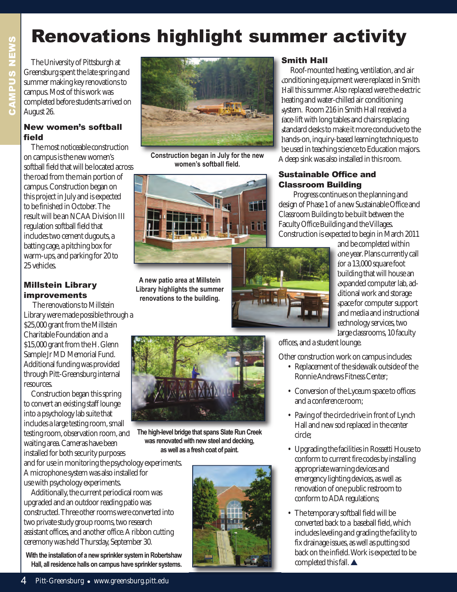## Renovations highlight summer activity

The University of Pittsburgh at Greensburg spent the late spring and summer making key renovations to campus. Most of this work was completed before students arrived on August 26.

#### New women's softball field

The most noticeable construction on campus is the new women's softball field that will be located across the road from the main portion of campus. Construction began on this project in July and is expected to be finished in October. The result will be an NCAA Division III regulation softball field that includes two cement dugouts, a batting cage, a pitching box for warm-ups, and parking for 20 to 25 vehicles.

#### millstein Library improvements

The renovations to Millstein Library were made possible through a \$25,000 grant from the Millstein Charitable Foundation and a \$15,000 grant from the H. Glenn Sample Jr MD Memorial Fund. Additional funding was provided through Pitt-Greensburg internal resources.

Construction began this spring to convert an existing staff lounge into a psychology lab suite that includes a large testing room, small testing room, observation room, and waiting area. Cameras have been installed for both security purposes

and for use in monitoring the psychology experiments. A microphone system was also installed for use with psychology experiments.

Additionally, the current periodical room was upgraded and an outdoor reading patio was constructed. Three other rooms were converted into two private study group rooms, two research assistant offices, and another office. A ribbon cutting ceremony was held Thursday, September 30.

**With the installation of a new sprinkler system in Robertshaw Hall, all residence halls on campus have sprinkler systems.** 



**Construction began in July for the new women's softball field.**



**A new patio area at Millstein Library highlights the summer renovations to the building.**



**The high-level bridge that spans Slate Run Creek was renovated with new steel and decking, as well as a fresh coat of paint.**



### Smith Hall

Roof-mounted heating, ventilation, and air conditioning equipment were replaced in Smith Hall this summer. Also replaced were the electric heating and water-chilled air conditioning system. Room 216 in Smith Hall received a face-lift with long tables and chairs replacing standard desks to make it more conducive to the hands-on, inquiry-based learning techniques to be used in teaching science to Education majors. A deep sink was also installed in this room.

### Sustainable Office and Classroom Building

Progress continues on the planning and design of Phase 1 of a new Sustainable Office and Classroom Building to be built between the Faculty Office Building and the Villages. Construction is expected to begin in March 2011

> and be completed within one year. Plans currently call for a 13,000 square foot building that will house an expanded computer lab, additional work and storage space for computer support and media and instructional technology services, two large classrooms, 10 faculty

offices, and a student lounge.

Other construction work on campus includes:

- Replacement of the sidewalk outside of the Ronnie Andrews Fitness Center;
- Conversion of the Lyceum space to offices and a conference room;
- Paving of the circle drive in front of Lynch Hall and new sod replaced in the center circle;
- Upgrading the facilities in Rossetti House to conform to current fire codes by installing appropriate warning devices and emergency lighting devices, as well as renovation of one public restroom to conform to ADA regulations;
- The temporary softball field will be converted back to a baseball field, which includes leveling and grading the facility to fix drainage issues, as well as putting sod back on the infield. Work is expected to be completed this fall.  $\blacktriangle$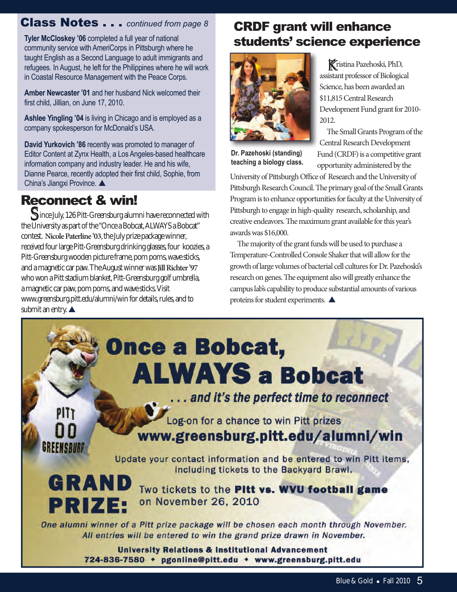## Class Notes . . . *continued from page 8*

**Tyler McCloskey '06** completed a full year of national community service with AmeriCorps in Pittsburgh where he taught English as a Second Language to adult immigrants and refugees. In August, he left for the Philippines where he will work in Coastal Resource Management with the Peace Corps.

**Amber Newcaster '01** and her husband Nick welcomed their first child, Jillian, on June 17, 2010.

**Ashlee Yingling '04** is living in Chicago and is employed as a company spokesperson for McDonald's USA.

**David Yurkovich '86** recently was promoted to manager of Editor Content at Zynx Health, a Los Angeles-based healthcare information company and industry leader. He and his wife, Dianne Pearce, recently adopted their first child, Sophie, from China's Jiangxi Province.

## Reconnect & win!

Since July, 126 Pitt-Greensburg alumni have reconnected with the University as part of the "Once a Bobcat, ALWAYS a Bobcat" contest. **Nicole Paterline '03**, the July prize package winner, received four large Pitt-Greensburg drinking glasses, four koozies, a Pitt-Greensburg wooden picture frame, pom poms, wave sticks, and a magnetic car paw. The August winner was **Jill Richter '97** who won a Pitt stadium blanket, Pitt-Greensburg golf umbrella, a magnetic car paw, pom poms, and wave sticks. Visit www.greensburg.pitt.edu/alumni/win for details, rules, and to submit an entry.  $\triangle$ 

## CRDF grant will enhance students' science experience



Kristina Pazehoski, PhD, assistant professor of Biological Science, has been awarded an \$11,815 Central Research Development Fund grant for 2010- 2012.

The Small Grants Program of the Central Research Development Fund (CRDF) is a competitive grant opportunity administered by the

**Dr. Pazehoski (standing) teaching a biology class.** 

University of Pittsburgh Office of Research and the University of Pittsburgh Research Council. The primary goal of the Small Grants Program is to enhance opportunities for faculty at the University of Pittsburgh to engage in high-quality research, scholarship, and creative endeavors. The maximum grant available for this year's awards was \$16,000.

The majority of the grant funds will be used to purchase a Temperature-Controlled Console Shaker that will allow for the growth of large volumes of bacterial cell cultures for Dr. Pazehoski's research on genes. The equipment also will greatly enhance the campus lab's capability to produce substantial amounts of various proteins for student experiments.  $\blacktriangle$ 

# **Once a Bobcat, ALWAYS a Bobcat**

... and it's the perfect time to reconnect

**GREENSBURG** 

**PRIZE:** 

 $PITT$ 

Log-on for a chance to win Pitt prizes www.greensburg.pitt.edu/alumni/win

Update your contact information and be entered to win Pitt items, including tickets to the Backyard Brawl. GRAND

Two tickets to the Pitt vs. WVU football game on November 26, 2010

One alumni winner of a Pitt prize package will be chosen each month through November. All entries will be entered to win the grand prize drawn in November.

> **University Relations & Institutional Advancement** 724-836-7580 • pgonline@pitt.edu • www.greensburg.pitt.edu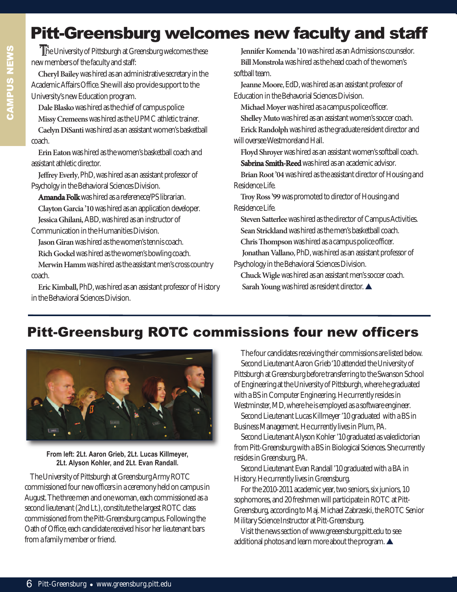## Pitt-Greensburg welcomes new faculty and staff

CAmPUS NEwS CAMPUS NEW

The University of Pittsburgh at Greensburg welcomes these new members of the faculty and staff:

**Cheryl Bailey**was hired as an administrative secretary in the Academic Affairs Office. She will also provide support to the University's new Education program.

**Dale Blasko**was hired as the chief of campus police **Missy Cremeens**was hired as the UPMC athletic trainer. **Caelyn DiSanti** was hired as an assistant women's basketball coach.

**Erin Eaton**was hired as the women's basketball coach and assistant athletic director.

**Jeffrey Everly**, PhD, was hired as an assistant professor of Psycholgy in the Behavioral Sciences Division.

**Amanda Folk**was hired as a referenece/PS librarian. **Clayton Garcia '10**was hired as an application developer. **Jessica Ghilani,** ABD, was hired as an instructor of

Communication in the Humanities Division.

**Jason Giran**was hired as the women's tennis coach. **Rich Gockel**was hired as the women's bowling coach.

**Merwin Hamm**was hired as the assistant men's cross country coach.

**Eric Kimball,**PhD, was hired as an assistant professor of History in the Behavioral Sciences Division.

**Jennifer Komenda '10** was hired as an Admissions counselor. **Bill Monstrola**was hired as the head coach of the women's softball team.

**Jeanne Moore**, EdD, was hired as an assistant professor of Education in the Behavorial Sciences Division.

**Michael Moyer**was hired as a campus police officer.

**Shelley Muto**was hired as an assistant women's soccer coach.

**Erick Randolph**was hired as the graduate resident director and will oversee Westmoreland Hall.

**Floyd Shroyer** was hired as an assistant women's softball coach. **Sabrina Smith-Reed**was hired as an academic advisor.

**Brian Root '04**was hired as the assistant director of Housing and Residence Life.

**Troy Ross '99**was promoted to director of Housing and Residence Life.

**Steven Satterlee**was hired as the director of Campus Activities. **Sean Strickland**was hired as the men's basketball coach.

Chris Thompson was hired as a campus police officer.

**Jonathan Vallano**, PhD, was hired as an assistant professor of Psychology in the Behavioral Sciences Division.

**Chuck Wigle** was hired as an assistant men's soccer coach. Sarah Young was hired as resident director.

## Pitt-Greensburg ROTC commissions four new officers



**From left: 2Lt. Aaron Grieb, 2Lt. Lucas Killmeyer, 2Lt. Alyson Kohler, and 2Lt. Evan Randall.**

The University of Pittsburgh at Greensburg Army ROTC commissioned four new officers in a ceremony held on campus in August. The three men and one woman, each commissioned as a second lieutenant (2nd Lt.), constitute the largest ROTC class commissioned from the Pitt-Greensburg campus. Following the Oath of Office, each candidate received his or her lieutenant bars from a family member or friend.

The four candidates receiving their commissions are listed below. Second Lieutenant Aaron Grieb '10 attended the University of Pittsburgh at Greensburg before transferring to the Swanson School of Engineering at the University of Pittsburgh, where he graduated with a BS in Computer Engineering. He currently resides in Westminster, MD, where he is employed as a software engineer.

Second Lieutenant Lucas Killmeyer '10 graduated with a BS in Business Management. He currently lives in Plum, PA.

Second Lieutenant Alyson Kohler '10 graduated as valedictorian from Pitt-Greensburg with a BS in Biological Sciences. She currently resides in Greensburg, PA.

Second Lieutenant Evan Randall '10 graduated with a BA in History. He currently lives in Greensburg.

For the 2010-2011 academic year, two seniors, six juniors, 10 sophomores, and 20 freshmen will participate in ROTC at Pitt-Greensburg, according to Maj. Michael Zabrzeski, the ROTC Senior Military Science Instructor at Pitt-Greensburg.

Visit the news section of www.greeensburg.pitt.edu to see additional photos and learn more about the program.  $\blacktriangle$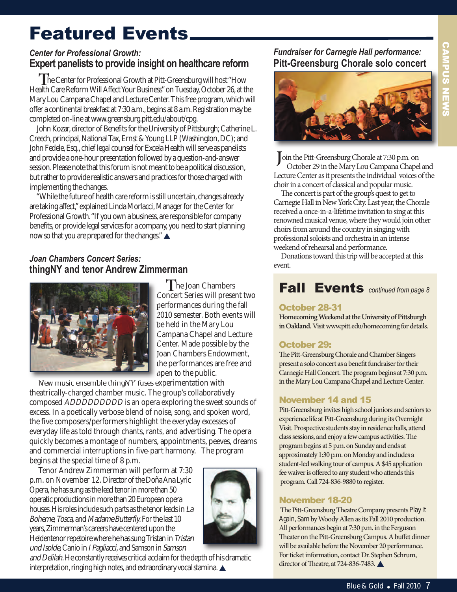## Featured Events

## *Center for Professional Growth:* **Expert panelists to provide insight on healthcare reform**

**The Center for Professional Growth at Pitt-Greensburg will host "How"** Health Care Reform Will Affect Your Business" on Tuesday, October 26, at the Mary Lou Campana Chapel and Lecture Center. This free program, which will offer a continental breakfast at 7:30 a.m., begins at 8 a.m. Registration may be completed on-line at www.greensburg.pitt.edu/about/cpg.

John Kozar, director of Benefits for the University of Pittsburgh; Catherine L. Creech, principal, National Tax, Ernst & Young LLP (Washington, DC); and John Fedele, Esq., chief legal counsel for Excela Health will serve as panelists and provide a one-hour presentation followed by a question-and-answer session. Please note that this forum is not meant to be a political discussion, but rather to provide realistic answers and practices for those charged with implementing the changes.

"While the future of health care reform is still uncertain, changes already are taking affect," explained Linda Morlacci, Manager for the Center for Professional Growth. "If you own a business, are responsible for company benefits, or provide legal services for a company, you need to start planning now so that you are prepared for the changes." $\blacktriangle$ 

## *Joan Chambers Concert Series:*  **thingNY and tenor Andrew Zimmerman**



**T** he Joan Chambers Concert Series will present two performances during the fall 2010 semester. Both events will be held in the Mary Lou Campana Chapel and Lecture Center. Made possible by the Joan Chambers Endowment, the performances are free and open to the public.

New music ensemble thingNY fuses experimentation with theatrically-charged chamber music. The group's collaboratively composed ADDDDDDDDD is an opera exploring the sweet sounds of excess. In a poetically verbose blend of noise, song, and spoken word, the five composers/performers highlight the everyday excesses of everyday life as told through chants, rants, and advertising. The opera quickly becomes a montage of numbers, appointments, peeves, dreams and commercial interruptions in five-part harmony. The program begins at the special time of 8 p.m.

Tenor Andrew Zimmerman will perform at 7:30 p.m. on November 12. Director of the Doña Ana Lyric Opera, he has sung as the lead tenor in more than 50 operatic productions in more than 20 European opera houses. His roles include such parts as the tenor leads in La Boheme, Tosca, and Madame Butterfly. For the last 10 years, Zimmerman's careers have centered upon the Heldentenor repetoire where he has sung Tristan in Tristan und Isolde,Canio in I Pagliacci, and Samson in Samson



and Delilah. He constantly receives critical acclaim for the depth of his dramatic interpretation, ringing high notes, and extraordinary vocal stamina.

## *Fundraiser for Carnegie Hall performance:* **Pitt-Greensburg Chorale solo concert**



**J**oin the Pitt-Greensburg Chorale at 7:30 p.m. on October 29 in the Mary Lou Campana Chapel and Lecture Center as it presents the individual voices of the choir in a concert of classical and popular music.

The concert is part of the group's quest to get to Carnegie Hall in New York City. Last year, the Chorale received a once-in-a-lifetime invitation to sing at this renowned musical venue, where they would join other choirs from around the country in singing with professional soloists and orchestra in an intense weekend of rehearsal and performance.

Donations toward this trip will be accepted at this event.

## Fall Events *continued from page 8*

## October 28-31

**Homecoming Weekend at the University of Pittsburgh in Oakland.**Visit www.pitt.edu/homecoming for details.

## October 29:

The Pitt-Greensburg Chorale and Chamber Singers present a solo concert as a benefit fundraiser for their Carnegie Hall Concert. The program begins at 7:30 p.m. in the Mary Lou Campana Chapel and Lecture Center.

## November 14 and 15

Pitt-Greensburg invites high school juniors and seniors to experience life at Pitt-Greensburg during its Overnight Visit. Prospective students stay in residence halls, attend class sessions, and enjoy a few campus activities. The program begins at 5 p.m. on Sunday and ends at approximately 1:30 p.m. on Monday and includes a student-led walking tour of campus. A \$45 application fee waiver is offered to any student who attends this program. Call 724-836-9880 to register.

## November 18-20

The Pitt-Greensburg Theatre Company presents *Play It Again, Sam*by Woody Allen as its Fall 2010 production. All performances begin at 7:30 p.m. in the Ferguson Theater on the Pitt-Greensburg Campus. A buffet dinner will be available before the November 20 performance. For ticket information, contact Dr. Stephen Schrum, director of Theatre, at 724-836-7483.  $\triangle$